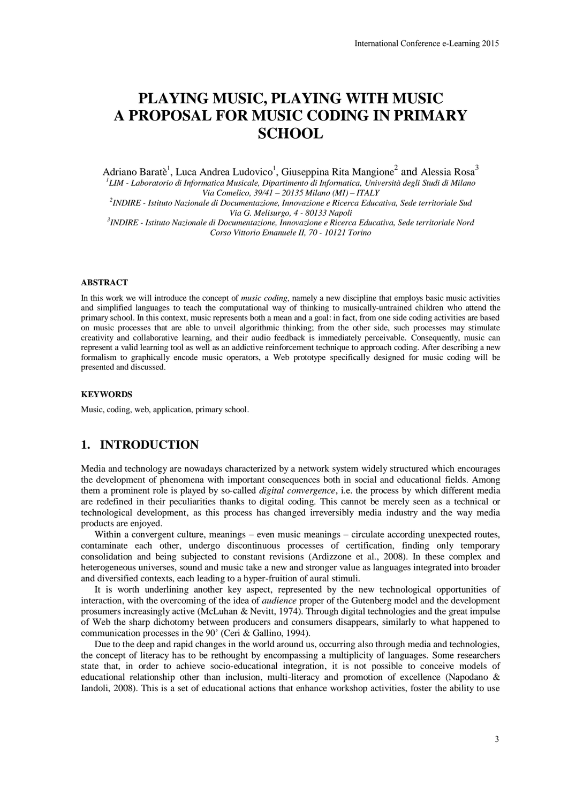# **PLAYING MUSIC, PLAYING WITH MUSIC A PROPOSAL FOR MUSIC CODING IN PRIMARY SCHOOL**

Adriano Baratè<sup>1</sup>, Luca Andrea Ludovico<sup>1</sup>, Giuseppina Rita Mangione<sup>2</sup> and Alessia Rosa<sup>3</sup> *1 LIM - Laboratorio di Informatica Musicale, Dipartimento di Informatica, Università degli Studi di Milano Via Comelico, 39/41 – 20135 Milano (MI) – ITALY* 

*2 INDIRE - Istituto Nazionale di Documentazione, Innovazione e Ricerca Educativa, Sede territoriale Sud Via G. Melisurgo, 4 - 80133 Napoli* 

*3 INDIRE - Istituto Nazionale di Documentazione, Innovazione e Ricerca Educativa, Sede territoriale Nord Corso Vittorio Emanuele II, 70 - 10121 Torino*

#### **ABSTRACT**

In this work we will introduce the concept of *music coding*, namely a new discipline that employs basic music activities and simplified languages to teach the computational way of thinking to musically-untrained children who attend the primary school. In this context, music represents both a mean and a goal: in fact, from one side coding activities are based on music processes that are able to unveil algorithmic thinking; from the other side, such processes may stimulate creativity and collaborative learning, and their audio feedback is immediately perceivable. Consequently, music can represent a valid learning tool as well as an addictive reinforcement technique to approach coding. After describing a new formalism to graphically encode music operators, a Web prototype specifically designed for music coding will be presented and discussed. International Conference e-Learning 2015<br> **IG IN PRIMARY**<br> **IG IN PRIMARY**<br>
Mangione<sup>2</sup> and Alessia Rosa<sup>3</sup><br> *a*, Università degli Studi di Milano<br> *a Educativa, Sede territoriale Nord*<br> *a Educativa, Sede territoriale Nor* 

#### **KEYWORDS**

Music, coding, web, application, primary school.

# **1. INTRODUCTION**

Media and technology are nowadays characterized by a network system widely structured which encourages the development of phenomena with important consequences both in social and educational fields. Among them a prominent role is played by so-called *digital convergence*, i.e. the process by which different media are redefined in their peculiarities thanks to digital coding. This cannot be merely seen as a technical or technological development, as this process has changed irreversibly media industry and the way media products are enjoyed.

Within a convergent culture, meanings – even music meanings – circulate according unexpected routes, contaminate each other, undergo discontinuous processes of certification, finding only temporary consolidation and being subjected to constant revisions (Ardizzone et al., 2008). In these complex and heterogeneous universes, sound and music take a new and stronger value as languages integrated into broader and diversified contexts, each leading to a hyper-fruition of aural stimuli.

It is worth underlining another key aspect, represented by the new technological opportunities of interaction, with the overcoming of the idea of *audience* proper of the Gutenberg model and the development prosumers increasingly active (McLuhan & Nevitt, 1974). Through digital technologies and the great impulse of Web the sharp dichotomy between producers and consumers disappears, similarly to what happened to communication processes in the 90' (Ceri & Gallino, 1994).

Due to the deep and rapid changes in the world around us, occurring also through media and technologies, the concept of literacy has to be rethought by encompassing a multiplicity of languages. Some researchers state that, in order to achieve socio-educational integration, it is not possible to conceive models of educational relationship other than inclusion, multi-literacy and promotion of excellence (Napodano & Iandoli, 2008). This is a set of educational actions that enhance workshop activities, foster the ability to use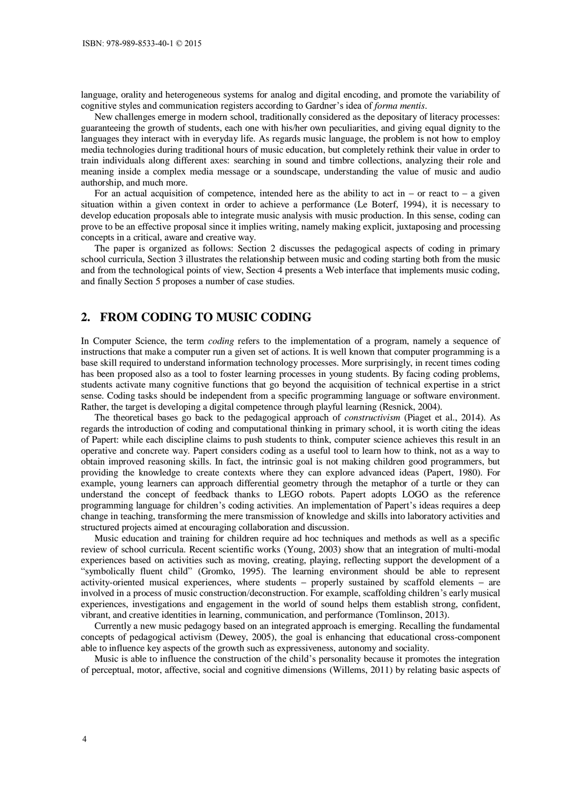language, orality and heterogeneous systems for analog and digital encoding, and promote the variability of cognitive styles and communication registers according to Gardner's idea of *forma mentis*.

New challenges emerge in modern school, traditionally considered as the depositary of literacy processes: guaranteeing the growth of students, each one with his/her own peculiarities, and giving equal dignity to the languages they interact with in everyday life. As regards music language, the problem is not how to employ media technologies during traditional hours of music education, but completely rethink their value in order to train individuals along different axes: searching in sound and timbre collections, analyzing their role and meaning inside a complex media message or a soundscape, understanding the value of music and audio authorship, and much more.

For an actual acquisition of competence, intended here as the ability to act in – or react to – a given situation within a given context in order to achieve a performance (Le Boterf, 1994), it is necessary to develop education proposals able to integrate music analysis with music production. In this sense, coding can prove to be an effective proposal since it implies writing, namely making explicit, juxtaposing and processing concepts in a critical, aware and creative way.

The paper is organized as follows: Section 2 discusses the pedagogical aspects of coding in primary school curricula, Section 3 illustrates the relationship between music and coding starting both from the music and from the technological points of view, Section 4 presents a Web interface that implements music coding, and finally Section 5 proposes a number of case studies.

# **2. FROM CODING TO MUSIC CODING**

In Computer Science, the term *coding* refers to the implementation of a program, namely a sequence of instructions that make a computer run a given set of actions. It is well known that computer programming is a base skill required to understand information technology processes. More surprisingly, in recent times coding has been proposed also as a tool to foster learning processes in young students. By facing coding problems, students activate many cognitive functions that go beyond the acquisition of technical expertise in a strict sense. Coding tasks should be independent from a specific programming language or software environment. Rather, the target is developing a digital competence through playful learning (Resnick, 2004).

The theoretical bases go back to the pedagogical approach of *constructivism* (Piaget et al., 2014). As regards the introduction of coding and computational thinking in primary school, it is worth citing the ideas of Papert: while each discipline claims to push students to think, computer science achieves this result in an operative and concrete way. Papert considers coding as a useful tool to learn how to think, not as a way to obtain improved reasoning skills. In fact, the intrinsic goal is not making children good programmers, but providing the knowledge to create contexts where they can explore advanced ideas (Papert, 1980). For example, young learners can approach differential geometry through the metaphor of a turtle or they can understand the concept of feedback thanks to LEGO robots. Papert adopts LOGO as the reference programming language for children's coding activities. An implementation of Papert's ideas requires a deep change in teaching, transforming the mere transmission of knowledge and skills into laboratory activities and structured projects aimed at encouraging collaboration and discussion.

Music education and training for children require ad hoc techniques and methods as well as a specific review of school curricula. Recent scientific works (Young, 2003) show that an integration of multi-modal experiences based on activities such as moving, creating, playing, reflecting support the development of a "symbolically fluent child" (Gromko, 1995). The learning environment should be able to represent activity-oriented musical experiences, where students – properly sustained by scaffold elements – are involved in a process of music construction/deconstruction. For example, scaffolding children's early musical experiences, investigations and engagement in the world of sound helps them establish strong, confident, vibrant, and creative identities in learning, communication, and performance (Tomlinson, 2013).

Currently a new music pedagogy based on an integrated approach is emerging. Recalling the fundamental concepts of pedagogical activism (Dewey, 2005), the goal is enhancing that educational cross-component able to influence key aspects of the growth such as expressiveness, autonomy and sociality.

Music is able to influence the construction of the child's personality because it promotes the integration of perceptual, motor, affective, social and cognitive dimensions (Willems, 2011) by relating basic aspects of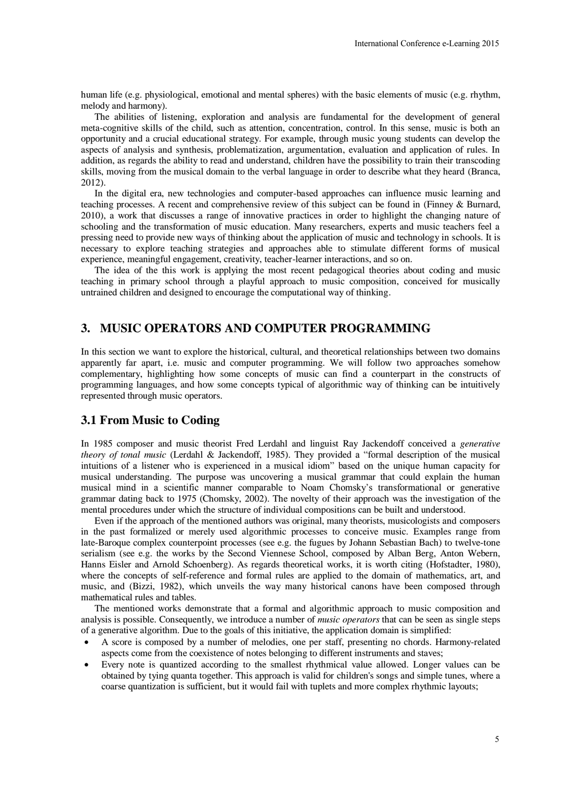human life (e.g. physiological, emotional and mental spheres) with the basic elements of music (e.g. rhythm, melody and harmony).

The abilities of listening, exploration and analysis are fundamental for the development of general meta-cognitive skills of the child, such as attention, concentration, control. In this sense, music is both an opportunity and a crucial educational strategy. For example, through music young students can develop the aspects of analysis and synthesis, problematization, argumentation, evaluation and application of rules. In addition, as regards the ability to read and understand, children have the possibility to train their transcoding skills, moving from the musical domain to the verbal language in order to describe what they heard (Branca, 2012).

In the digital era, new technologies and computer-based approaches can influence music learning and teaching processes. A recent and comprehensive review of this subject can be found in (Finney & Burnard, 2010), a work that discusses a range of innovative practices in order to highlight the changing nature of schooling and the transformation of music education. Many researchers, experts and music teachers feel a pressing need to provide new ways of thinking about the application of music and technology in schools. It is necessary to explore teaching strategies and approaches able to stimulate different forms of musical experience, meaningful engagement, creativity, teacher-learner interactions, and so on.

The idea of the this work is applying the most recent pedagogical theories about coding and music teaching in primary school through a playful approach to music composition, conceived for musically untrained children and designed to encourage the computational way of thinking.

# **3. MUSIC OPERATORS AND COMPUTER PROGRAMMING**

In this section we want to explore the historical, cultural, and theoretical relationships between two domains apparently far apart, i.e. music and computer programming. We will follow two approaches somehow complementary, highlighting how some concepts of music can find a counterpart in the constructs of programming languages, and how some concepts typical of algorithmic way of thinking can be intuitively represented through music operators.

# **3.1 From Music to Coding**

In 1985 composer and music theorist Fred Lerdahl and linguist Ray Jackendoff conceived a *generative theory of tonal music* (Lerdahl & Jackendoff, 1985). They provided a "formal description of the musical intuitions of a listener who is experienced in a musical idiom" based on the unique human capacity for musical understanding. The purpose was uncovering a musical grammar that could explain the human musical mind in a scientific manner comparable to Noam Chomsky's transformational or generative grammar dating back to 1975 (Chomsky, 2002). The novelty of their approach was the investigation of the mental procedures under which the structure of individual compositions can be built and understood.

Even if the approach of the mentioned authors was original, many theorists, musicologists and composers in the past formalized or merely used algorithmic processes to conceive music. Examples range from late-Baroque complex counterpoint processes (see e.g. the fugues by Johann Sebastian Bach) to twelve-tone serialism (see e.g. the works by the Second Viennese School, composed by Alban Berg, Anton Webern, Hanns Eisler and Arnold Schoenberg). As regards theoretical works, it is worth citing (Hofstadter, 1980), where the concepts of self-reference and formal rules are applied to the domain of mathematics, art, and music, and (Bizzi, 1982), which unveils the way many historical canons have been composed through mathematical rules and tables. International Conference e-Learning 2015<br>
basic elements of music (e.g. rhythm<br>
that for the development of general<br>
through lin this sense, music is both an<br>
untion and application of rules. In<br>
this sense, music is both

The mentioned works demonstrate that a formal and algorithmic approach to music composition and analysis is possible. Consequently, we introduce a number of *music operators* that can be seen as single steps of a generative algorithm. Due to the goals of this initiative, the application domain is simplified:

- A score is composed by a number of melodies, one per staff, presenting no chords. Harmony-related aspects come from the coexistence of notes belonging to different instruments and staves;
- Every note is quantized according to the smallest rhythmical value allowed. Longer values can be obtained by tying quanta together. This approach is valid for children's songs and simple tunes, where a coarse quantization is sufficient, but it would fail with tuplets and more complex rhythmic layouts;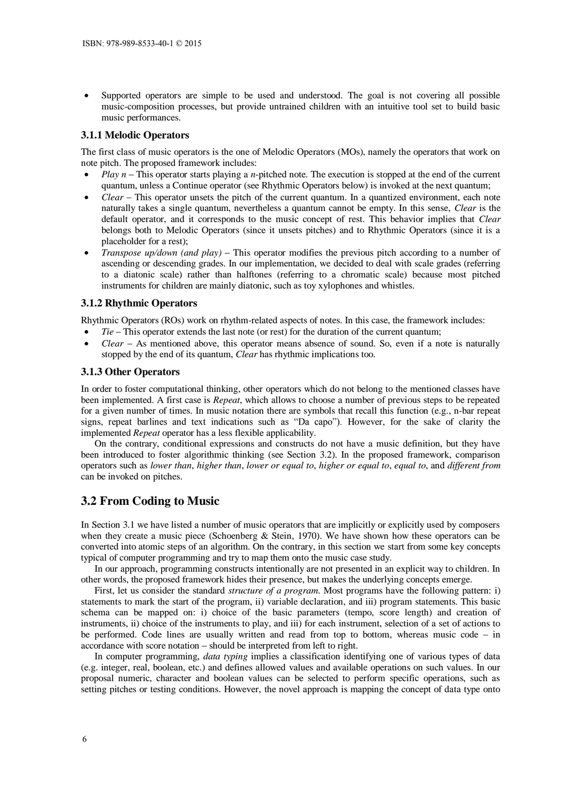Supported operators are simple to be used and understood. The goal is not covering all possible music-composition processes, but provide untrained children with an intuitive tool set to build basic music performances.

#### **3.1.1 Melodic Operators**

The first class of music operators is the one of Melodic Operators (MOs), namely the operators that work on note pitch. The proposed framework includes:

- *Play n* This operator starts playing a *n*-pitched note. The execution is stopped at the end of the current quantum, unless a Continue operator (see Rhythmic Operators below) is invoked at the next quantum;
- *Clear* This operator unsets the pitch of the current quantum. In a quantized environment, each note naturally takes a single quantum, nevertheless a quantum cannot be empty. In this sense, *Clear* is the default operator, and it corresponds to the music concept of rest. This behavior implies that *Clear* belongs both to Melodic Operators (since it unsets pitches) and to Rhythmic Operators (since it is a placeholder for a rest);
- *Transpose up/down (and play)* This operator modifies the previous pitch according to a number of ascending or descending grades. In our implementation, we decided to deal with scale grades (referring to a diatonic scale) rather than halftones (referring to a chromatic scale) because most pitched instruments for children are mainly diatonic, such as toy xylophones and whistles.

### **3.1.2 Rhythmic Operators**

Rhythmic Operators (ROs) work on rhythm-related aspects of notes. In this case, the framework includes:

- *Tie* This operator extends the last note (or rest) for the duration of the current quantum;
- *Clear* As mentioned above, this operator means absence of sound. So, even if a note is naturally stopped by the end of its quantum, *Clear* has rhythmic implications too.

#### **3.1.3 Other Operators**

In order to foster computational thinking, other operators which do not belong to the mentioned classes have been implemented. A first case is *Repeat*, which allows to choose a number of previous steps to be repeated for a given number of times. In music notation there are symbols that recall this function (e.g., n-bar repeat signs, repeat barlines and text indications such as "Da capo"). However, for the sake of clarity the implemented *Repeat* operator has a less flexible applicability.

On the contrary, conditional expressions and constructs do not have a music definition, but they have been introduced to foster algorithmic thinking (see Section 3.2). In the proposed framework, comparison operators such as *lower than*, *higher than*, *lower or equal to*, *higher or equal to*, *equal to*, and *different from* can be invoked on pitches.

# **3.2 From Coding to Music**

In Section 3.1 we have listed a number of music operators that are implicitly or explicitly used by composers when they create a music piece (Schoenberg & Stein, 1970). We have shown how these operators can be converted into atomic steps of an algorithm. On the contrary, in this section we start from some key concepts typical of computer programming and try to map them onto the music case study.

In our approach, programming constructs intentionally are not presented in an explicit way to children. In other words, the proposed framework hides their presence, but makes the underlying concepts emerge.

First, let us consider the standard *structure of a program*. Most programs have the following pattern: i) statements to mark the start of the program, ii) variable declaration, and iii) program statements. This basic schema can be mapped on: i) choice of the basic parameters (tempo, score length) and creation of instruments, ii) choice of the instruments to play, and iii) for each instrument, selection of a set of actions to be performed. Code lines are usually written and read from top to bottom, whereas music code – in accordance with score notation – should be interpreted from left to right.

In computer programming, *data typing* implies a classification identifying one of various types of data (e.g. integer, real, boolean, etc.) and defines allowed values and available operations on such values. In our proposal numeric, character and boolean values can be selected to perform specific operations, such as setting pitches or testing conditions. However, the novel approach is mapping the concept of data type onto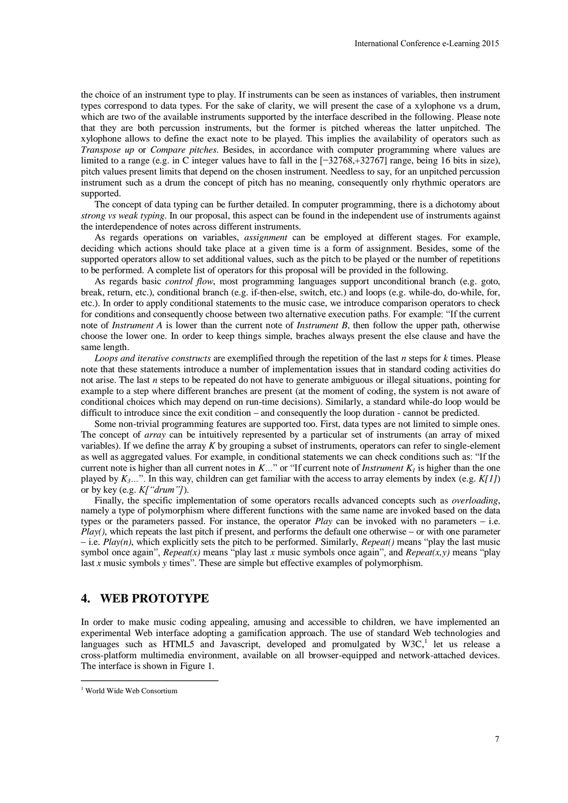the choice of an instrument type to play. If instruments can be seen as instances of variables, then instrument types correspond to data types. For the sake of clarity, we will present the case of a xylophone vs a drum, which are two of the available instruments supported by the interface described in the following. Please note that they are both percussion instruments, but the former is pitched whereas the latter unpitched. The xylophone allows to define the exact note to be played. This implies the availability of operators such as *Transpose up* or *Compare pitches*. Besides, in accordance with computer programming where values are limited to a range (e.g. in C integer values have to fall in the [−32768,+32767] range, being 16 bits in size), pitch values present limits that depend on the chosen instrument. Needless to say, for an unpitched percussion instrument such as a drum the concept of pitch has no meaning, consequently only rhythmic operators are supported. International Conference e-Learning 2015<br>
nstances of variables, then instrument<br>
the case of a xylophone vs a drum<br>
lescribed in the following. Please note<br>
d whereas the later unpitched. The<br>
the availability of operato

The concept of data typing can be further detailed. In computer programming, there is a dichotomy about *strong vs weak typing*. In our proposal, this aspect can be found in the independent use of instruments against the interdependence of notes across different instruments.

As regards operations on variables, *assignment* can be employed at different stages. For example, deciding which actions should take place at a given time is a form of assignment. Besides, some of the supported operators allow to set additional values, such as the pitch to be played or the number of repetitions to be performed. A complete list of operators for this proposal will be provided in the following.

As regards basic *control flow*, most programming languages support unconditional branch (e.g. goto, break, return, etc.), conditional branch (e.g. if-then-else, switch, etc.) and loops (e.g. while-do, do-while, for, etc.). In order to apply conditional statements to the music case, we introduce comparison operators to check for conditions and consequently choose between two alternative execution paths. For example: "If the current note of *Instrument A* is lower than the current note of *Instrument B*, then follow the upper path, otherwise choose the lower one. In order to keep things simple, braches always present the else clause and have the same length.

*Loops and iterative constructs* are exemplified through the repetition of the last *n* steps for *k* times. Please note that these statements introduce a number of implementation issues that in standard coding activities do not arise. The last *n* steps to be repeated do not have to generate ambiguous or illegal situations, pointing for example to a step where different branches are present (at the moment of coding, the system is not aware of conditional choices which may depend on run-time decisions). Similarly, a standard while-do loop would be difficult to introduce since the exit condition – and consequently the loop duration - cannot be predicted.

Some non-trivial programming features are supported too. First, data types are not limited to simple ones. The concept of *array* can be intuitively represented by a particular set of instruments (an array of mixed variables). If we define the array *K* by grouping a subset of instruments, operators can refer to single-element as well as aggregated values. For example, in conditional statements we can check conditions such as: "If the current note is higher than all current notes in  $K...$ " or "If current note of *Instrument*  $K_t$  is higher than the one played by  $K_3$ …". In this way, children can get familiar with the access to array elements by index (e.g.  $K[1]$ ) or by key (e.g. *K["drum"]*).

Finally, the specific implementation of some operators recalls advanced concepts such as *overloading*, namely a type of polymorphism where different functions with the same name are invoked based on the data types or the parameters passed. For instance, the operator *Play* can be invoked with no parameters – i.e.  $\hat{Play}$ ), which repeats the last pitch if present, and performs the default one otherwise – or with one parameter  $-$  i.e. *Play(n)*, which explicitly sets the pitch to be performed. Similarly, *Repeat()* means "play the last music symbol once again", *Repeat(x)* means "play last *x* music symbols once again", and *Repeat(x,y)* means "play last *x* music symbols *y* times". These are simple but effective examples of polymorphism.

### **4. WEB PROTOTYPE**

In order to make music coding appealing, amusing and accessible to children, we have implemented an experimental Web interface adopting a gamification approach. The use of standard Web technologies and languages such as HTML5 and Javascript, developed and promulgated by  $W3C$ ,<sup>1</sup> let us release a cross-platform multimedia environment, available on all browser-equipped and network-attached devices. The interface is shown in Figure 1.

 $\overline{a}$ 

<sup>1</sup> World Wide Web Consortium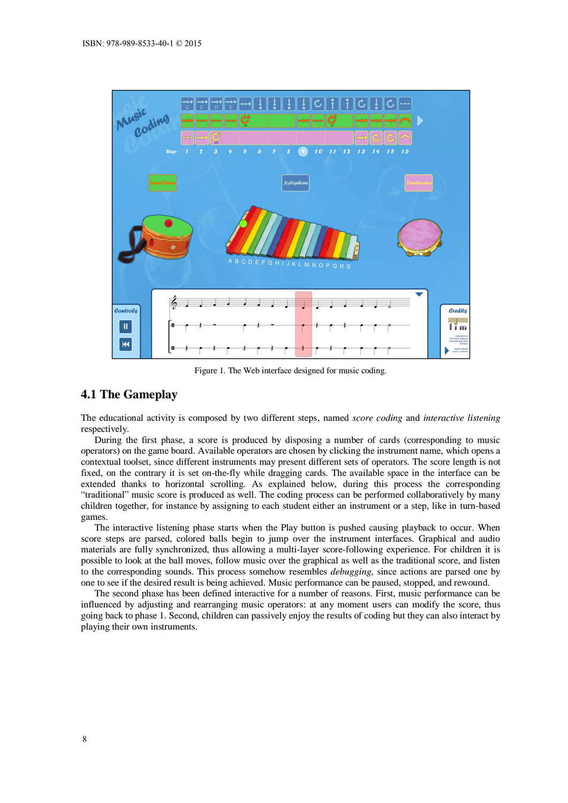

Figure 1. The Web interface designed for music coding.

# **4.1 The Gameplay**

The educational activity is composed by two different steps, named *score coding* and *interactive listening* respectively.

During the first phase, a score is produced by disposing a number of cards (corresponding to music operators) on the game board. Available operators are chosen by clicking the instrument name, which opens a contextual toolset, since different instruments may present different sets of operators. The score length is not fixed, on the contrary it is set on-the-fly while dragging cards. The available space in the interface can be extended thanks to horizontal scrolling. As explained below, during this process the corresponding "traditional" music score is produced as well. The coding process can be performed collaboratively by many children together, for instance by assigning to each student either an instrument or a step, like in turn-based games.

The interactive listening phase starts when the Play button is pushed causing playback to occur. When score steps are parsed, colored balls begin to jump over the instrument interfaces. Graphical and audio materials are fully synchronized, thus allowing a multi-layer score-following experience. For children it is possible to look at the ball moves, follow music over the graphical as well as the traditional score, and listen to the corresponding sounds. This process somehow resembles *debugging*, since actions are parsed one by one to see if the desired result is being achieved. Music performance can be paused, stopped, and rewound.

The second phase has been defined interactive for a number of reasons. First, music performance can be influenced by adjusting and rearranging music operators: at any moment users can modify the score, thus going back to phase 1. Second, children can passively enjoy the results of coding but they can also interact by playing their own instruments.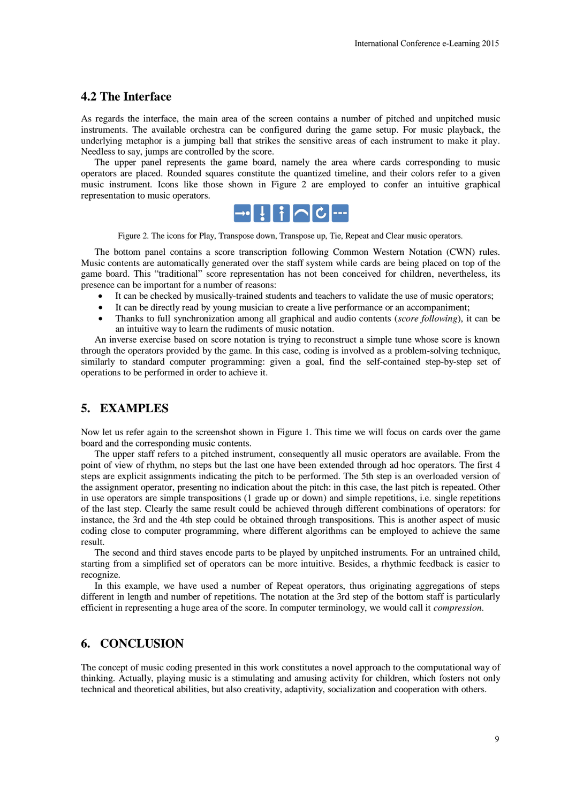### **4.2 The Interface**

As regards the interface, the main area of the screen contains a number of pitched and unpitched music instruments. The available orchestra can be configured during the game setup. For music playback, the underlying metaphor is a jumping ball that strikes the sensitive areas of each instrument to make it play. Needless to say, jumps are controlled by the score.

The upper panel represents the game board, namely the area where cards corresponding to music operators are placed. Rounded squares constitute the quantized timeline, and their colors refer to a given music instrument. Icons like those shown in Figure 2 are employed to confer an intuitive graphical representation to music operators.



Figure 2. The icons for Play, Transpose down, Transpose up, Tie, Repeat and Clear music operators.

The bottom panel contains a score transcription following Common Western Notation (CWN) rules. Music contents are automatically generated over the staff system while cards are being placed on top of the game board. This "traditional" score representation has not been conceived for children, nevertheless, its presence can be important for a number of reasons:

- It can be checked by musically-trained students and teachers to validate the use of music operators;
- It can be directly read by young musician to create a live performance or an accompaniment;
- Thanks to full synchronization among all graphical and audio contents (*score following*), it can be an intuitive way to learn the rudiments of music notation.

An inverse exercise based on score notation is trying to reconstruct a simple tune whose score is known through the operators provided by the game. In this case, coding is involved as a problem-solving technique, similarly to standard computer programming: given a goal, find the self-contained step-by-step set of operations to be performed in order to achieve it.

# **5. EXAMPLES**

Now let us refer again to the screenshot shown in Figure 1. This time we will focus on cards over the game board and the corresponding music contents.

The upper staff refers to a pitched instrument, consequently all music operators are available. From the point of view of rhythm, no steps but the last one have been extended through ad hoc operators. The first 4 steps are explicit assignments indicating the pitch to be performed. The 5th step is an overloaded version of the assignment operator, presenting no indication about the pitch: in this case, the last pitch is repeated. Other in use operators are simple transpositions (1 grade up or down) and simple repetitions, i.e. single repetitions of the last step. Clearly the same result could be achieved through different combinations of operators: for instance, the 3rd and the 4th step could be obtained through transpositions. This is another aspect of music coding close to computer programming, where different algorithms can be employed to achieve the same result. International Conference e-Learning 2015<br>
nher of pitched and unpitched music<br>
same setup. For music playback, the<br>
sof each instrument to make it play<br>
where cards corresponding to music<br>
pine, and their colors refer to a

The second and third staves encode parts to be played by unpitched instruments. For an untrained child, starting from a simplified set of operators can be more intuitive. Besides, a rhythmic feedback is easier to recognize.

In this example, we have used a number of Repeat operators, thus originating aggregations of steps different in length and number of repetitions. The notation at the 3rd step of the bottom staff is particularly efficient in representing a huge area of the score. In computer terminology, we would call it *compression*.

# **6. CONCLUSION**

The concept of music coding presented in this work constitutes a novel approach to the computational way of thinking. Actually, playing music is a stimulating and amusing activity for children, which fosters not only technical and theoretical abilities, but also creativity, adaptivity, socialization and cooperation with others.